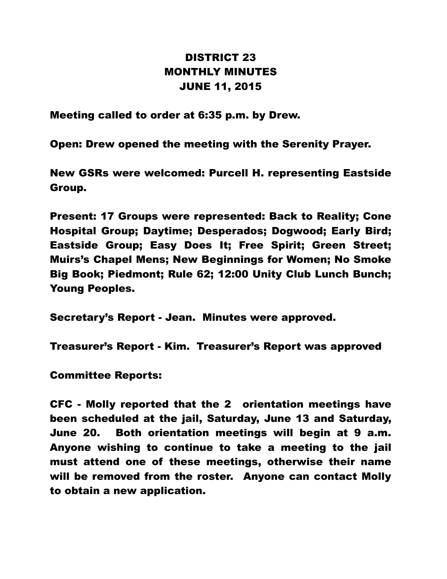## DISTRICT 23 MONTHLY MINUTES JUNE 11, 2015

Meeting called to order at 6:35 p.m. by Drew.

Open: Drew opened the meeting with the Serenity Prayer.

New GSRs were welcomed: Purcell H. representing Eastside Group.

Present: 17 Groups were represented: Back to Reality; Cone Hospital Group; Daytime; Desperados; Dogwood; Early Bird; Eastside Group; Easy Does It; Free Spirit; Green Street; Muirs's Chapel Mens; New Beginnings for Women; No Smoke Big Book; Piedmont; Rule 62; 12:00 Unity Club Lunch Bunch; Young Peoples.

Secretary's Report - Jean. Minutes were approved.

Treasurer's Report - Kim. Treasurer's Report was approved

Committee Reports:

CFC - Molly reported that the 2 orientation meetings have been scheduled at the jail, Saturday, June 13 and Saturday, June 20. Both orientation meetings will begin at 9 a.m. Anyone wishing to continue to take a meeting to the jail must attend one of these meetings, otherwise their name will be removed from the roster. Anyone can contact Molly to obtain a new application.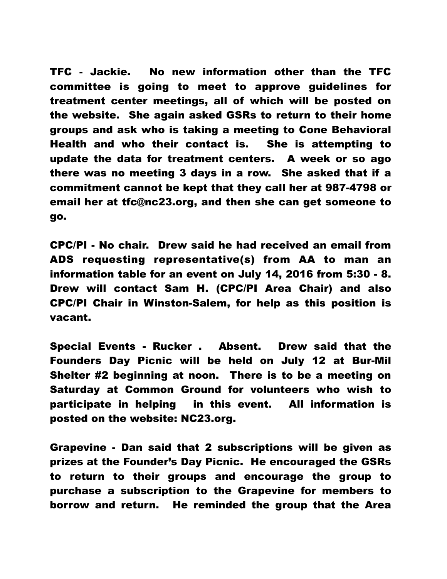TFC - Jackie. No new information other than the TFC committee is going to meet to approve guidelines for treatment center meetings, all of which will be posted on the website. She again asked GSRs to return to their home groups and ask who is taking a meeting to Cone Behavioral Health and who their contact is. She is attempting to update the data for treatment centers. A week or so ago there was no meeting 3 days in a row. She asked that if a commitment cannot be kept that they call her at 987-4798 or email her at tfc@nc23.org, and then she can get someone to go.

CPC/PI - No chair. Drew said he had received an email from ADS requesting representative(s) from AA to man an information table for an event on July 14, 2016 from 5:30 - 8. Drew will contact Sam H. (CPC/PI Area Chair) and also CPC/PI Chair in Winston-Salem, for help as this position is vacant.

Special Events - Rucker . Absent. Drew said that the Founders Day Picnic will be held on July 12 at Bur-Mil Shelter #2 beginning at noon. There is to be a meeting on Saturday at Common Ground for volunteers who wish to participate in helping in this event. All information is posted on the website: NC23.org.

Grapevine - Dan said that 2 subscriptions will be given as prizes at the Founder's Day Picnic. He encouraged the GSRs to return to their groups and encourage the group to purchase a subscription to the Grapevine for members to borrow and return. He reminded the group that the Area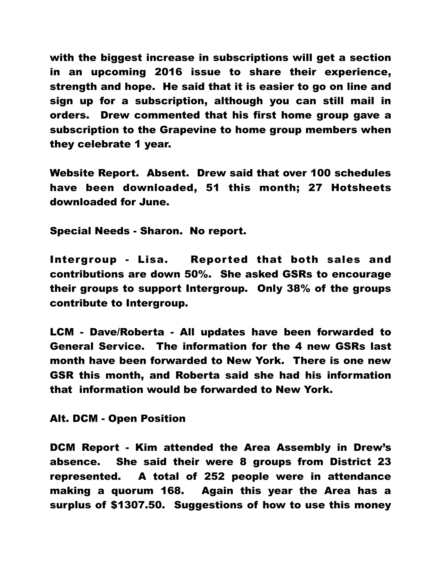with the biggest increase in subscriptions will get a section in an upcoming 2016 issue to share their experience, strength and hope. He said that it is easier to go on line and sign up for a subscription, although you can still mail in orders. Drew commented that his first home group gave a subscription to the Grapevine to home group members when they celebrate 1 year.

Website Report. Absent. Drew said that over 100 schedules have been downloaded, 51 this month; 27 Hotsheets downloaded for June.

Special Needs - Sharon. No report.

Intergroup - Lisa. Reported that both sales and contributions are down 50%. She asked GSRs to encourage their groups to support Intergroup. Only 38% of the groups contribute to Intergroup.

LCM - Dave/Roberta - All updates have been forwarded to General Service. The information for the 4 new GSRs last month have been forwarded to New York. There is one new GSR this month, and Roberta said she had his information that information would be forwarded to New York.

Alt. DCM - Open Position

DCM Report - Kim attended the Area Assembly in Drew's absence. She said their were 8 groups from District 23 represented. A total of 252 people were in attendance making a quorum 168. Again this year the Area has a surplus of \$1307.50. Suggestions of how to use this money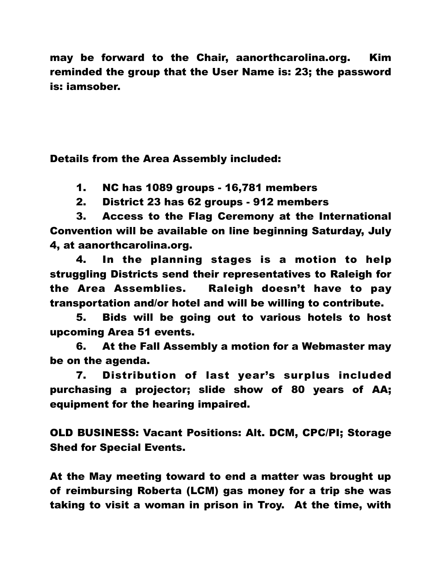may be forward to the Chair, aanorthcarolina.org. Kim reminded the group that the User Name is: 23; the password is: iamsober.

Details from the Area Assembly included:

1. NC has 1089 groups - 16,781 members

2. District 23 has 62 groups - 912 members

3. Access to the Flag Ceremony at the International Convention will be available on line beginning Saturday, July 4, at aanorthcarolina.org.

4. In the planning stages is a motion to help struggling Districts send their representatives to Raleigh for the Area Assemblies. Raleigh doesn't have to pay transportation and/or hotel and will be willing to contribute.

5. Bids will be going out to various hotels to host upcoming Area 51 events.

6. At the Fall Assembly a motion for a Webmaster may be on the agenda.

7. Distribution of last year's surplus included purchasing a projector; slide show of 80 years of AA; equipment for the hearing impaired.

OLD BUSINESS: Vacant Positions: Alt. DCM, CPC/PI; Storage Shed for Special Events.

At the May meeting toward to end a matter was brought up of reimbursing Roberta (LCM) gas money for a trip she was taking to visit a woman in prison in Troy. At the time, with